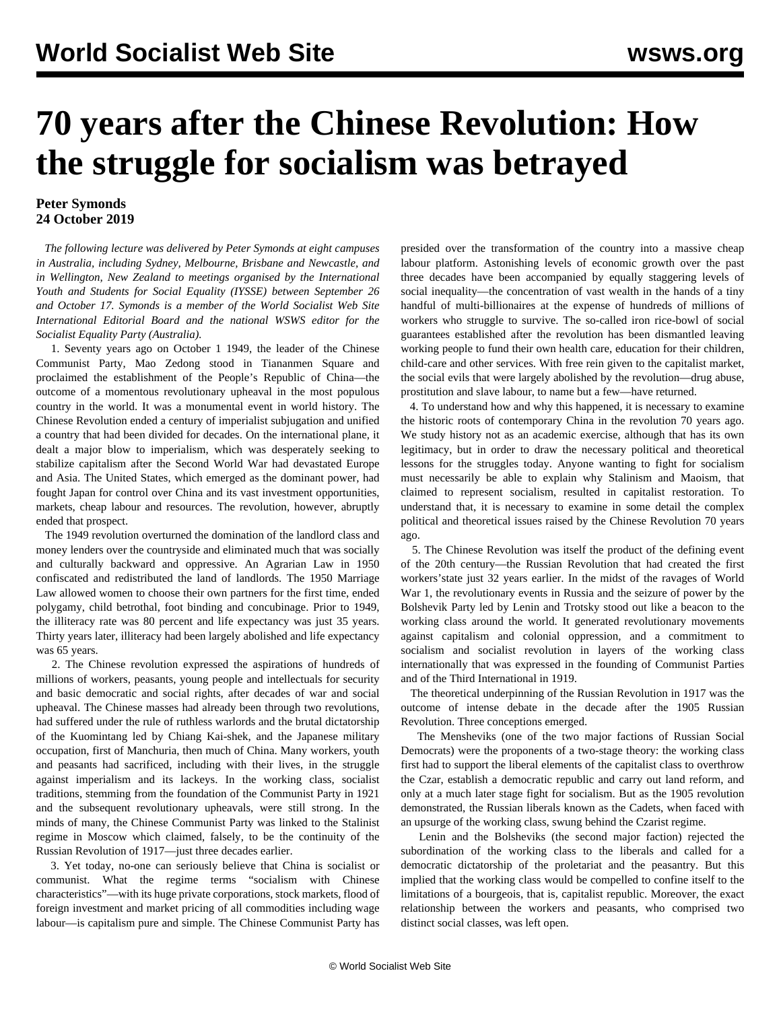## **70 years after the Chinese Revolution: How the struggle for socialism was betrayed**

## **Peter Symonds 24 October 2019**

 *The following lecture was delivered by Peter Symonds at eight campuses in Australia, including Sydney, Melbourne, Brisbane and Newcastle, and in Wellington, New Zealand to meetings organised by the International Youth and Students for Social Equality (IYSSE) between September 26 and October 17. Symonds is a member of the World Socialist Web Site International Editorial Board and the national WSWS editor for the Socialist Equality Party (Australia).*

 1. Seventy years ago on October 1 1949, the leader of the Chinese Communist Party, Mao Zedong stood in Tiananmen Square and proclaimed the establishment of the People's Republic of China—the outcome of a momentous revolutionary upheaval in the most populous country in the world. It was a monumental event in world history. The Chinese Revolution ended a century of imperialist subjugation and unified a country that had been divided for decades. On the international plane, it dealt a major blow to imperialism, which was desperately seeking to stabilize capitalism after the Second World War had devastated Europe and Asia. The United States, which emerged as the dominant power, had fought Japan for control over China and its vast investment opportunities, markets, cheap labour and resources. The revolution, however, abruptly ended that prospect.

 The 1949 revolution overturned the domination of the landlord class and money lenders over the countryside and eliminated much that was socially and culturally backward and oppressive. An Agrarian Law in 1950 confiscated and redistributed the land of landlords. The 1950 Marriage Law allowed women to choose their own partners for the first time, ended polygamy, child betrothal, foot binding and concubinage. Prior to 1949, the illiteracy rate was 80 percent and life expectancy was just 35 years. Thirty years later, illiteracy had been largely abolished and life expectancy was 65 years.

 2. The Chinese revolution expressed the aspirations of hundreds of millions of workers, peasants, young people and intellectuals for security and basic democratic and social rights, after decades of war and social upheaval. The Chinese masses had already been through two revolutions, had suffered under the rule of ruthless warlords and the brutal dictatorship of the Kuomintang led by Chiang Kai-shek, and the Japanese military occupation, first of Manchuria, then much of China. Many workers, youth and peasants had sacrificed, including with their lives, in the struggle against imperialism and its lackeys. In the working class, socialist traditions, stemming from the foundation of the Communist Party in 1921 and the subsequent revolutionary upheavals, were still strong. In the minds of many, the Chinese Communist Party was linked to the Stalinist regime in Moscow which claimed, falsely, to be the continuity of the Russian Revolution of 1917—just three decades earlier.

 3. Yet today, no-one can seriously believe that China is socialist or communist. What the regime terms "socialism with Chinese characteristics"—with its huge private corporations, stock markets, flood of foreign investment and market pricing of all commodities including wage labour—is capitalism pure and simple. The Chinese Communist Party has

presided over the transformation of the country into a massive cheap labour platform. Astonishing levels of economic growth over the past three decades have been accompanied by equally staggering levels of social inequality—the concentration of vast wealth in the hands of a tiny handful of multi-billionaires at the expense of hundreds of millions of workers who struggle to survive. The so-called iron rice-bowl of social guarantees established after the revolution has been dismantled leaving working people to fund their own health care, education for their children, child-care and other services. With free rein given to the capitalist market, the social evils that were largely abolished by the revolution—drug abuse, prostitution and slave labour, to name but a few—have returned.

 4. To understand how and why this happened, it is necessary to examine the historic roots of contemporary China in the revolution 70 years ago. We study history not as an academic exercise, although that has its own legitimacy, but in order to draw the necessary political and theoretical lessons for the struggles today. Anyone wanting to fight for socialism must necessarily be able to explain why Stalinism and Maoism, that claimed to represent socialism, resulted in capitalist restoration. To understand that, it is necessary to examine in some detail the complex political and theoretical issues raised by the Chinese Revolution 70 years ago.

 5. The Chinese Revolution was itself the product of the defining event of the 20th century—the Russian Revolution that had created the first workers'state just 32 years earlier. In the midst of the ravages of World War 1, the revolutionary events in Russia and the seizure of power by the Bolshevik Party led by Lenin and Trotsky stood out like a beacon to the working class around the world. It generated revolutionary movements against capitalism and colonial oppression, and a commitment to socialism and socialist revolution in layers of the working class internationally that was expressed in the founding of Communist Parties and of the Third International in 1919.

 The theoretical underpinning of the Russian Revolution in 1917 was the outcome of intense debate in the decade after the 1905 Russian Revolution. Three conceptions emerged.

 The Mensheviks (one of the two major factions of Russian Social Democrats) were the proponents of a two-stage theory: the working class first had to support the liberal elements of the capitalist class to overthrow the Czar, establish a democratic republic and carry out land reform, and only at a much later stage fight for socialism. But as the 1905 revolution demonstrated, the Russian liberals known as the Cadets, when faced with an upsurge of the working class, swung behind the Czarist regime.

 Lenin and the Bolsheviks (the second major faction) rejected the subordination of the working class to the liberals and called for a democratic dictatorship of the proletariat and the peasantry. But this implied that the working class would be compelled to confine itself to the limitations of a bourgeois, that is, capitalist republic. Moreover, the exact relationship between the workers and peasants, who comprised two distinct social classes, was left open.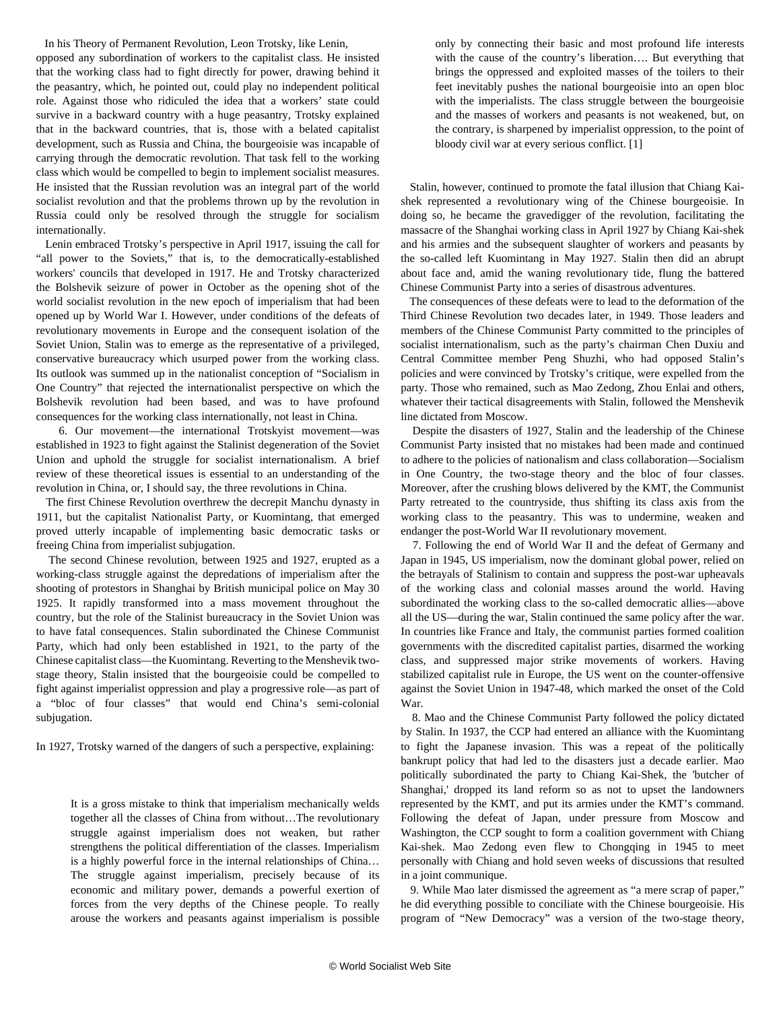In his Theory of Permanent Revolution, Leon Trotsky, like Lenin,

opposed any subordination of workers to the capitalist class. He insisted that the working class had to fight directly for power, drawing behind it the peasantry, which, he pointed out, could play no independent political role. Against those who ridiculed the idea that a workers' state could survive in a backward country with a huge peasantry, Trotsky explained that in the backward countries, that is, those with a belated capitalist development, such as Russia and China, the bourgeoisie was incapable of carrying through the democratic revolution. That task fell to the working class which would be compelled to begin to implement socialist measures. He insisted that the Russian revolution was an integral part of the world socialist revolution and that the problems thrown up by the revolution in Russia could only be resolved through the struggle for socialism internationally.

 Lenin embraced Trotsky's perspective in April 1917, issuing the call for "all power to the Soviets," that is, to the democratically-established workers' councils that developed in 1917. He and Trotsky characterized the Bolshevik seizure of power in October as the opening shot of the world socialist revolution in the new epoch of imperialism that had been opened up by World War I. However, under conditions of the defeats of revolutionary movements in Europe and the consequent isolation of the Soviet Union, Stalin was to emerge as the representative of a privileged, conservative bureaucracy which usurped power from the working class. Its outlook was summed up in the nationalist conception of "Socialism in One Country" that rejected the internationalist perspective on which the Bolshevik revolution had been based, and was to have profound consequences for the working class internationally, not least in China.

 6. Our movement—the international Trotskyist movement—was established in 1923 to fight against the Stalinist degeneration of the Soviet Union and uphold the struggle for socialist internationalism. A brief review of these theoretical issues is essential to an understanding of the revolution in China, or, I should say, the three revolutions in China.

 The first Chinese Revolution overthrew the decrepit Manchu dynasty in 1911, but the capitalist Nationalist Party, or Kuomintang, that emerged proved utterly incapable of implementing basic democratic tasks or freeing China from imperialist subjugation.

 The second Chinese revolution, between 1925 and 1927, erupted as a working-class struggle against the depredations of imperialism after the shooting of protestors in Shanghai by British municipal police on May 30 1925. It rapidly transformed into a mass movement throughout the country, but the role of the Stalinist bureaucracy in the Soviet Union was to have fatal consequences. Stalin subordinated the Chinese Communist Party, which had only been established in 1921, to the party of the Chinese capitalist class—the Kuomintang. Reverting to the Menshevik twostage theory, Stalin insisted that the bourgeoisie could be compelled to fight against imperialist oppression and play a progressive role—as part of a "bloc of four classes" that would end China's semi-colonial subjugation.

In 1927, Trotsky warned of the dangers of such a perspective, explaining:

It is a gross mistake to think that imperialism mechanically welds together all the classes of China from without…The revolutionary struggle against imperialism does not weaken, but rather strengthens the political differentiation of the classes. Imperialism is a highly powerful force in the internal relationships of China… The struggle against imperialism, precisely because of its economic and military power, demands a powerful exertion of forces from the very depths of the Chinese people. To really arouse the workers and peasants against imperialism is possible only by connecting their basic and most profound life interests with the cause of the country's liberation…. But everything that brings the oppressed and exploited masses of the toilers to their feet inevitably pushes the national bourgeoisie into an open bloc with the imperialists. The class struggle between the bourgeoisie and the masses of workers and peasants is not weakened, but, on the contrary, is sharpened by imperialist oppression, to the point of bloody civil war at every serious conflict. [1]

 Stalin, however, continued to promote the fatal illusion that Chiang Kaishek represented a revolutionary wing of the Chinese bourgeoisie. In doing so, he became the gravedigger of the revolution, facilitating the massacre of the Shanghai working class in April 1927 by Chiang Kai-shek and his armies and the subsequent slaughter of workers and peasants by the so-called left Kuomintang in May 1927. Stalin then did an abrupt about face and, amid the waning revolutionary tide, flung the battered Chinese Communist Party into a series of disastrous adventures.

 The consequences of these defeats were to lead to the deformation of the Third Chinese Revolution two decades later, in 1949. Those leaders and members of the Chinese Communist Party committed to the principles of socialist internationalism, such as the party's chairman Chen Duxiu and Central Committee member Peng Shuzhi, who had opposed Stalin's policies and were convinced by Trotsky's critique, were expelled from the party. Those who remained, such as Mao Zedong, Zhou Enlai and others, whatever their tactical disagreements with Stalin, followed the Menshevik line dictated from Moscow.

 Despite the disasters of 1927, Stalin and the leadership of the Chinese Communist Party insisted that no mistakes had been made and continued to adhere to the policies of nationalism and class collaboration—Socialism in One Country, the two-stage theory and the bloc of four classes. Moreover, after the crushing blows delivered by the KMT, the Communist Party retreated to the countryside, thus shifting its class axis from the working class to the peasantry. This was to undermine, weaken and endanger the post-World War II revolutionary movement.

 7. Following the end of World War II and the defeat of Germany and Japan in 1945, US imperialism, now the dominant global power, relied on the betrayals of Stalinism to contain and suppress the post-war upheavals of the working class and colonial masses around the world. Having subordinated the working class to the so-called democratic allies—above all the US—during the war, Stalin continued the same policy after the war. In countries like France and Italy, the communist parties formed coalition governments with the discredited capitalist parties, disarmed the working class, and suppressed major strike movements of workers. Having stabilized capitalist rule in Europe, the US went on the counter-offensive against the Soviet Union in 1947-48, which marked the onset of the Cold War.

 8. Mao and the Chinese Communist Party followed the policy dictated by Stalin. In 1937, the CCP had entered an alliance with the Kuomintang to fight the Japanese invasion. This was a repeat of the politically bankrupt policy that had led to the disasters just a decade earlier. Mao politically subordinated the party to Chiang Kai-Shek, the 'butcher of Shanghai,' dropped its land reform so as not to upset the landowners represented by the KMT, and put its armies under the KMT's command. Following the defeat of Japan, under pressure from Moscow and Washington, the CCP sought to form a coalition government with Chiang Kai-shek. Mao Zedong even flew to Chongqing in 1945 to meet personally with Chiang and hold seven weeks of discussions that resulted in a joint communique.

 9. While Mao later dismissed the agreement as "a mere scrap of paper," he did everything possible to conciliate with the Chinese bourgeoisie. His program of "New Democracy" was a version of the two-stage theory,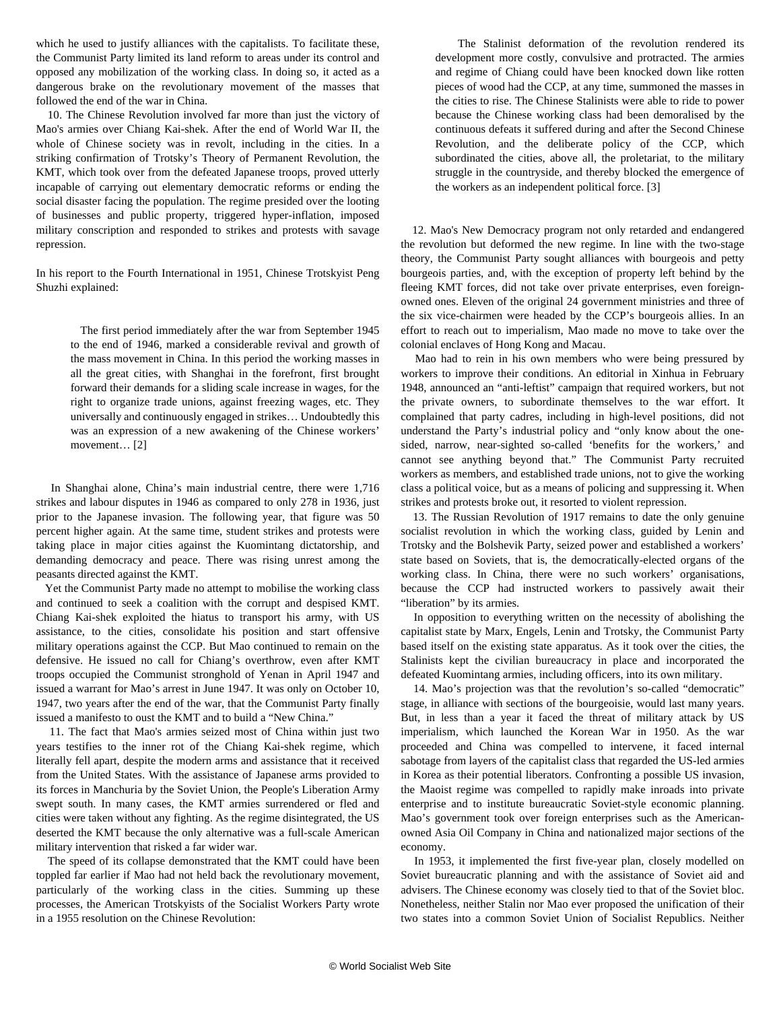which he used to justify alliances with the capitalists. To facilitate these, the Communist Party limited its land reform to areas under its control and opposed any mobilization of the working class. In doing so, it acted as a dangerous brake on the revolutionary movement of the masses that followed the end of the war in China.

 10. The Chinese Revolution involved far more than just the victory of Mao's armies over Chiang Kai-shek. After the end of World War II, the whole of Chinese society was in revolt, including in the cities. In a striking confirmation of Trotsky's Theory of Permanent Revolution, the KMT, which took over from the defeated Japanese troops, proved utterly incapable of carrying out elementary democratic reforms or ending the social disaster facing the population. The regime presided over the looting of businesses and public property, triggered hyper-inflation, imposed military conscription and responded to strikes and protests with savage repression.

In his report to the Fourth International in 1951, Chinese Trotskyist Peng Shuzhi explained:

 The first period immediately after the war from September 1945 to the end of 1946, marked a considerable revival and growth of the mass movement in China. In this period the working masses in all the great cities, with Shanghai in the forefront, first brought forward their demands for a sliding scale increase in wages, for the right to organize trade unions, against freezing wages, etc. They universally and continuously engaged in strikes… Undoubtedly this was an expression of a new awakening of the Chinese workers' movement… [2]

 In Shanghai alone, China's main industrial centre, there were 1,716 strikes and labour disputes in 1946 as compared to only 278 in 1936, just prior to the Japanese invasion. The following year, that figure was 50 percent higher again. At the same time, student strikes and protests were taking place in major cities against the Kuomintang dictatorship, and demanding democracy and peace. There was rising unrest among the peasants directed against the KMT.

 Yet the Communist Party made no attempt to mobilise the working class and continued to seek a coalition with the corrupt and despised KMT. Chiang Kai-shek exploited the hiatus to transport his army, with US assistance, to the cities, consolidate his position and start offensive military operations against the CCP. But Mao continued to remain on the defensive. He issued no call for Chiang's overthrow, even after KMT troops occupied the Communist stronghold of Yenan in April 1947 and issued a warrant for Mao's arrest in June 1947. It was only on October 10, 1947, two years after the end of the war, that the Communist Party finally issued a manifesto to oust the KMT and to build a "New China."

 11. The fact that Mao's armies seized most of China within just two years testifies to the inner rot of the Chiang Kai-shek regime, which literally fell apart, despite the modern arms and assistance that it received from the United States. With the assistance of Japanese arms provided to its forces in Manchuria by the Soviet Union, the People's Liberation Army swept south. In many cases, the KMT armies surrendered or fled and cities were taken without any fighting. As the regime disintegrated, the US deserted the KMT because the only alternative was a full-scale American military intervention that risked a far wider war.

 The speed of its collapse demonstrated that the KMT could have been toppled far earlier if Mao had not held back the revolutionary movement, particularly of the working class in the cities. Summing up these processes, the American Trotskyists of the Socialist Workers Party wrote in a 1955 resolution on the Chinese Revolution:

 The Stalinist deformation of the revolution rendered its development more costly, convulsive and protracted. The armies and regime of Chiang could have been knocked down like rotten pieces of wood had the CCP, at any time, summoned the masses in the cities to rise. The Chinese Stalinists were able to ride to power because the Chinese working class had been demoralised by the continuous defeats it suffered during and after the Second Chinese Revolution, and the deliberate policy of the CCP, which subordinated the cities, above all, the proletariat, to the military struggle in the countryside, and thereby blocked the emergence of the workers as an independent political force. [3]

 12. Mao's New Democracy program not only retarded and endangered the revolution but deformed the new regime. In line with the two-stage theory, the Communist Party sought alliances with bourgeois and petty bourgeois parties, and, with the exception of property left behind by the fleeing KMT forces, did not take over private enterprises, even foreignowned ones. Eleven of the original 24 government ministries and three of the six vice-chairmen were headed by the CCP's bourgeois allies. In an effort to reach out to imperialism, Mao made no move to take over the colonial enclaves of Hong Kong and Macau.

 Mao had to rein in his own members who were being pressured by workers to improve their conditions. An editorial in Xinhua in February 1948, announced an "anti-leftist" campaign that required workers, but not the private owners, to subordinate themselves to the war effort. It complained that party cadres, including in high-level positions, did not understand the Party's industrial policy and "only know about the onesided, narrow, near-sighted so-called 'benefits for the workers,' and cannot see anything beyond that." The Communist Party recruited workers as members, and established trade unions, not to give the working class a political voice, but as a means of policing and suppressing it. When strikes and protests broke out, it resorted to violent repression.

 13. The Russian Revolution of 1917 remains to date the only genuine socialist revolution in which the working class, guided by Lenin and Trotsky and the Bolshevik Party, seized power and established a workers' state based on Soviets, that is, the democratically-elected organs of the working class. In China, there were no such workers' organisations, because the CCP had instructed workers to passively await their "liberation" by its armies.

 In opposition to everything written on the necessity of abolishing the capitalist state by Marx, Engels, Lenin and Trotsky, the Communist Party based itself on the existing state apparatus. As it took over the cities, the Stalinists kept the civilian bureaucracy in place and incorporated the defeated Kuomintang armies, including officers, into its own military.

 14. Mao's projection was that the revolution's so-called "democratic" stage, in alliance with sections of the bourgeoisie, would last many years. But, in less than a year it faced the threat of military attack by US imperialism, which launched the Korean War in 1950. As the war proceeded and China was compelled to intervene, it faced internal sabotage from layers of the capitalist class that regarded the US-led armies in Korea as their potential liberators. Confronting a possible US invasion, the Maoist regime was compelled to rapidly make inroads into private enterprise and to institute bureaucratic Soviet-style economic planning. Mao's government took over foreign enterprises such as the Americanowned Asia Oil Company in China and nationalized major sections of the economy.

 In 1953, it implemented the first five-year plan, closely modelled on Soviet bureaucratic planning and with the assistance of Soviet aid and advisers. The Chinese economy was closely tied to that of the Soviet bloc. Nonetheless, neither Stalin nor Mao ever proposed the unification of their two states into a common Soviet Union of Socialist Republics. Neither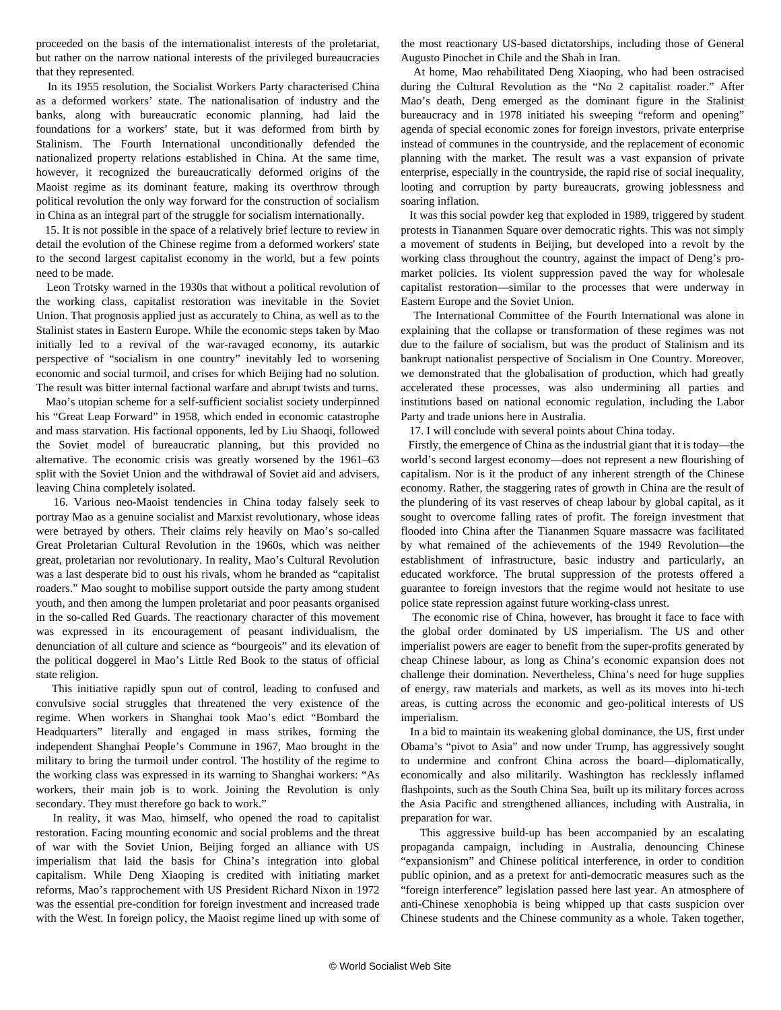proceeded on the basis of the internationalist interests of the proletariat, but rather on the narrow national interests of the privileged bureaucracies that they represented.

 In its 1955 resolution, the Socialist Workers Party characterised China as a deformed workers' state. The nationalisation of industry and the banks, along with bureaucratic economic planning, had laid the foundations for a workers' state, but it was deformed from birth by Stalinism. The Fourth International unconditionally defended the nationalized property relations established in China. At the same time, however, it recognized the bureaucratically deformed origins of the Maoist regime as its dominant feature, making its overthrow through political revolution the only way forward for the construction of socialism in China as an integral part of the struggle for socialism internationally.

 15. It is not possible in the space of a relatively brief lecture to review in detail the evolution of the Chinese regime from a deformed workers' state to the second largest capitalist economy in the world, but a few points need to be made.

 Leon Trotsky warned in the 1930s that without a political revolution of the working class, capitalist restoration was inevitable in the Soviet Union. That prognosis applied just as accurately to China, as well as to the Stalinist states in Eastern Europe. While the economic steps taken by Mao initially led to a revival of the war-ravaged economy, its autarkic perspective of "socialism in one country" inevitably led to worsening economic and social turmoil, and crises for which Beijing had no solution. The result was bitter internal factional warfare and abrupt twists and turns.

 Mao's utopian scheme for a self-sufficient socialist society underpinned his "Great Leap Forward" in 1958, which ended in economic catastrophe and mass starvation. His factional opponents, led by Liu Shaoqi, followed the Soviet model of bureaucratic planning, but this provided no alternative. The economic crisis was greatly worsened by the 1961–63 split with the Soviet Union and the withdrawal of Soviet aid and advisers, leaving China completely isolated.

 16. Various neo-Maoist tendencies in China today falsely seek to portray Mao as a genuine socialist and Marxist revolutionary, whose ideas were betrayed by others. Their claims rely heavily on Mao's so-called Great Proletarian Cultural Revolution in the 1960s, which was neither great, proletarian nor revolutionary. In reality, Mao's Cultural Revolution was a last desperate bid to oust his rivals, whom he branded as "capitalist roaders." Mao sought to mobilise support outside the party among student youth, and then among the lumpen proletariat and poor peasants organised in the so-called Red Guards. The reactionary character of this movement was expressed in its encouragement of peasant individualism, the denunciation of all culture and science as "bourgeois" and its elevation of the political doggerel in Mao's Little Red Book to the status of official state religion.

 This initiative rapidly spun out of control, leading to confused and convulsive social struggles that threatened the very existence of the regime. When workers in Shanghai took Mao's edict "Bombard the Headquarters" literally and engaged in mass strikes, forming the independent Shanghai People's Commune in 1967, Mao brought in the military to bring the turmoil under control. The hostility of the regime to the working class was expressed in its warning to Shanghai workers: "As workers, their main job is to work. Joining the Revolution is only secondary. They must therefore go back to work."

 In reality, it was Mao, himself, who opened the road to capitalist restoration. Facing mounting economic and social problems and the threat of war with the Soviet Union, Beijing forged an alliance with US imperialism that laid the basis for China's integration into global capitalism. While Deng Xiaoping is credited with initiating market reforms, Mao's rapprochement with US President Richard Nixon in 1972 was the essential pre-condition for foreign investment and increased trade with the West. In foreign policy, the Maoist regime lined up with some of the most reactionary US-based dictatorships, including those of General Augusto Pinochet in Chile and the Shah in Iran.

 At home, Mao rehabilitated Deng Xiaoping, who had been ostracised during the Cultural Revolution as the "No 2 capitalist roader." After Mao's death, Deng emerged as the dominant figure in the Stalinist bureaucracy and in 1978 initiated his sweeping "reform and opening" agenda of special economic zones for foreign investors, private enterprise instead of communes in the countryside, and the replacement of economic planning with the market. The result was a vast expansion of private enterprise, especially in the countryside, the rapid rise of social inequality, looting and corruption by party bureaucrats, growing joblessness and soaring inflation.

 It was this social powder keg that exploded in 1989, triggered by student protests in Tiananmen Square over democratic rights. This was not simply a movement of students in Beijing, but developed into a revolt by the working class throughout the country, against the impact of Deng's promarket policies. Its violent suppression paved the way for wholesale capitalist restoration—similar to the processes that were underway in Eastern Europe and the Soviet Union.

 The International Committee of the Fourth International was alone in explaining that the collapse or transformation of these regimes was not due to the failure of socialism, but was the product of Stalinism and its bankrupt nationalist perspective of Socialism in One Country. Moreover, we demonstrated that the globalisation of production, which had greatly accelerated these processes, was also undermining all parties and institutions based on national economic regulation, including the Labor Party and trade unions here in Australia.

17. I will conclude with several points about China today.

 Firstly, the emergence of China as the industrial giant that it is today—the world's second largest economy—does not represent a new flourishing of capitalism. Nor is it the product of any inherent strength of the Chinese economy. Rather, the staggering rates of growth in China are the result of the plundering of its vast reserves of cheap labour by global capital, as it sought to overcome falling rates of profit. The foreign investment that flooded into China after the Tiananmen Square massacre was facilitated by what remained of the achievements of the 1949 Revolution—the establishment of infrastructure, basic industry and particularly, an educated workforce. The brutal suppression of the protests offered a guarantee to foreign investors that the regime would not hesitate to use police state repression against future working-class unrest.

 The economic rise of China, however, has brought it face to face with the global order dominated by US imperialism. The US and other imperialist powers are eager to benefit from the super-profits generated by cheap Chinese labour, as long as China's economic expansion does not challenge their domination. Nevertheless, China's need for huge supplies of energy, raw materials and markets, as well as its moves into hi-tech areas, is cutting across the economic and geo-political interests of US imperialism.

 In a bid to maintain its weakening global dominance, the US, first under Obama's "pivot to Asia" and now under Trump, has aggressively sought to undermine and confront China across the board—diplomatically, economically and also militarily. Washington has recklessly inflamed flashpoints, such as the South China Sea, built up its military forces across the Asia Pacific and strengthened alliances, including with Australia, in preparation for war.

 This aggressive build-up has been accompanied by an escalating propaganda campaign, including in Australia, denouncing Chinese "expansionism" and Chinese political interference, in order to condition public opinion, and as a pretext for anti-democratic measures such as the "foreign interference" legislation passed here last year. An atmosphere of anti-Chinese xenophobia is being whipped up that casts suspicion over Chinese students and the Chinese community as a whole. Taken together,